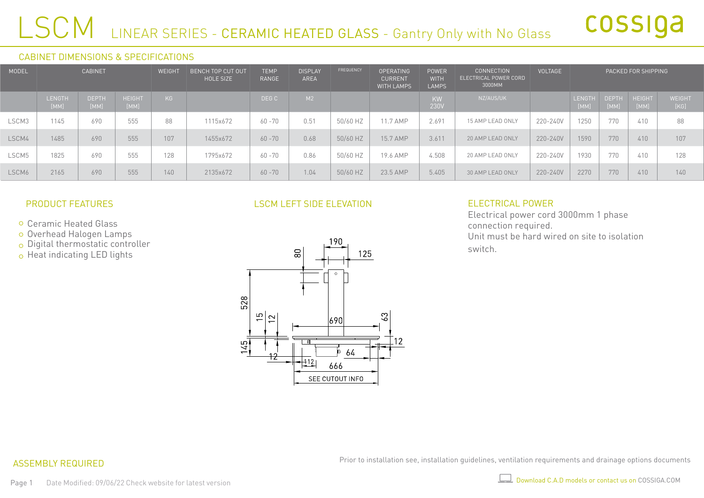## LSCM LINEAR SERIES - CERAMIC HEATED GLASS - Gantry Only with No Glass

#### CABINET DIMENSIONS & SPECIFICATIONS

| <b>MODEL</b> | <b>CABINET</b>        |                      |                       |     |          |           | WEIGHT | <b>BENCH TOP CUT OUT</b><br><b>HOLE SIZE</b> | <b>TEMP</b><br><b>RANGE</b> | <b>DISPLAY</b><br><b>AREA</b> | <b>FREQUENCY</b> | <b>OPERATING</b><br><b>CURRENT</b><br><b>WITH LAMPS</b> | <b>POWER</b><br><b>WITH</b><br><b>LAMPS</b> | <b>CONNECTION</b><br>ELECTRICAL POWER CORD<br>3000MM | <b>VOLTAGE</b>        |                       |  | PACKED FOR SHIPPING |  |
|--------------|-----------------------|----------------------|-----------------------|-----|----------|-----------|--------|----------------------------------------------|-----------------------------|-------------------------------|------------------|---------------------------------------------------------|---------------------------------------------|------------------------------------------------------|-----------------------|-----------------------|--|---------------------|--|
|              | <b>LENGTH</b><br>[MM] | <b>DEPTH</b><br>[MM] | <b>HEIGHT</b><br>[MM] | KG  |          | DEG C     | M2     |                                              |                             | <b>KW</b><br>230V             | NZ/AUS/UK        |                                                         | <b>LENGTH</b><br>[MM]                       | <b>DEPTH</b><br>[MM]                                 | <b>HEIGHT</b><br>[MM] | <b>WEIGHT</b><br>[KG] |  |                     |  |
| LSCM3        | 1145                  | 690                  | 555                   | 88  | 1115x672 | $60 - 70$ | 0.51   | 50/60 HZ                                     | 11.7 AMP                    | 2.691                         | 15 AMP LEAD ONLY | 220-240V                                                | 1250                                        | 770                                                  | 410                   | 88                    |  |                     |  |
| LSCM4        | 1485                  | 690                  | 555                   | 107 | 1455x672 | $60 - 70$ | 0.68   | 50/60 HZ                                     | 15.7 AMP                    | 3.611                         | 20 AMP LEAD ONLY | 220-240V                                                | 1590                                        | 770                                                  | 410                   | 107                   |  |                     |  |
| LSCM5        | 1825                  | 690                  | 555                   | 128 | 1795x672 | $60 - 70$ | 0.86   | 50/60 HZ                                     | 19.6 AMP                    | 4.508                         | 20 AMP LEAD ONLY | 220-240V                                                | 1930                                        | 770                                                  | 410                   | 128                   |  |                     |  |
| LSCM6        | 2165                  | 690                  | 555                   | 140 | 2135x672 | $60 - 70$ | 1.04   | 50/60 HZ                                     | 23.5 AMP                    | 5.405                         | 30 AMP LEAD ONLY | 220-240V                                                | 2270                                        | 770                                                  | 410                   | 140                   |  |                     |  |

#### PRODUCT FEATURES

- Ceramic Heated Glass
- Overhead Halogen Lamps
- $\circ$  Digital thermostatic controller
- o Heat indicating LED lights

#### LSCM LEFT SIDE ELEVATION



#### ELECTRICAL POWER

Electrical power cord 3000mm 1 phase connection required. Unit must be hard wired on site to isolation switch.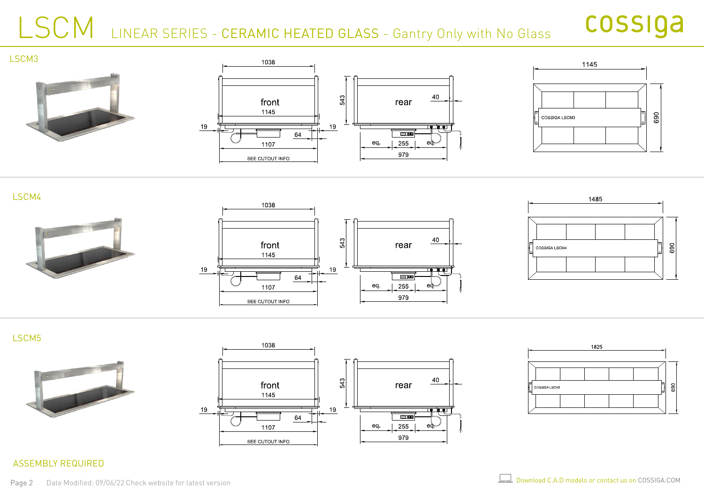### LSCM LINEAR SERIES - CERAMIC HEATED GLASS - Gantry Only with No Glass

## cossiga





LSCM4



LSCM5





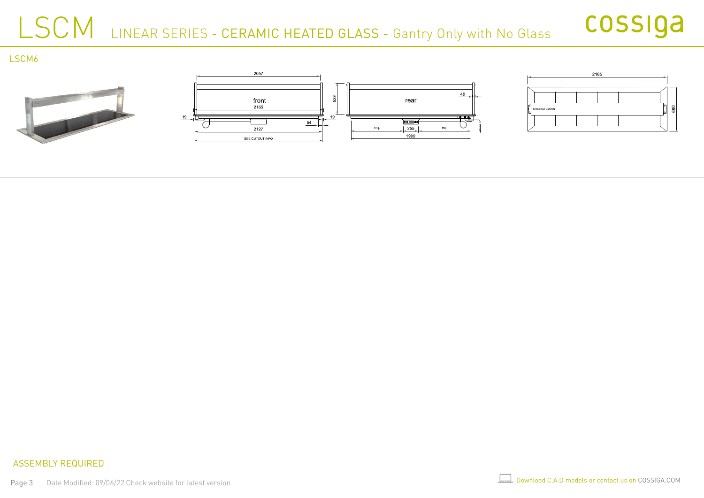### LSCM LINEAR SERIES - CERAMIC HEATED GLASS - Gantry Only with No Glass



LSCM6





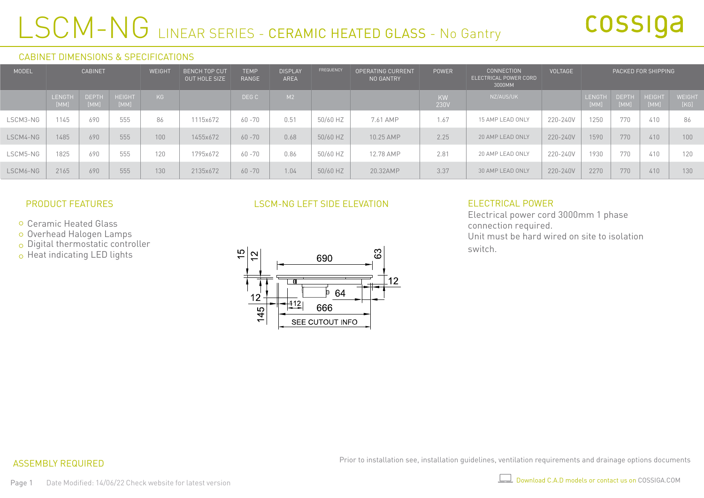## LSCM-NG LINEAR SERIES - CERAMIC HEATED GLASS - No Gantry

#### CABINET DIMENSIONS & SPECIFICATIONS

| MODEL    | <b>CABINET</b>        |                      |                       | WEIGH <sup>-</sup> | <b>BENCH TOP CUT</b><br>OUT HOLE SIZE | <b>TEMP</b><br>RANGE | <b>DISPLAY</b><br>AREA | FREQUENCY | <b>OPERATING CURRENT</b><br>NO GANTRY | <b>POWER</b> | <b>CONNECTION</b><br>ELECTRICAL POWER CORD<br>3000MM | <b>VOLTAGE</b> |                       |                      | PACKED FOR SHIPPING |                       |
|----------|-----------------------|----------------------|-----------------------|--------------------|---------------------------------------|----------------------|------------------------|-----------|---------------------------------------|--------------|------------------------------------------------------|----------------|-----------------------|----------------------|---------------------|-----------------------|
|          | <b>LENGTH</b><br>[MM] | <b>DEPTH</b><br>[MM] | <b>HEIGHT</b><br>[MM] | KG                 |                                       | DEG C                | M2                     |           |                                       | KW<br>230V   | NZ/AUS/UK                                            |                | <b>LENGTH</b><br>[MM] | <b>DEPTH</b><br>[MM] | HEIGHT<br>[MM]      | <b>WEIGHT</b><br>[KG] |
| LSCM3-NG | 1145                  | 690                  | 555                   | 86                 | 1115x672                              | $60 - 70$            | 0.51                   | 50/60 HZ  | 7.61 AMP                              | 1.67         | 15 AMP LEAD ONLY                                     | 220-240V       | 1250                  | 770                  | 410                 | 86                    |
| LSCM4-NG | 1485                  | 690                  | 555                   | 100                | 1455x672                              | $60 - 70$            | 0.68                   | 50/60 HZ  | 10.25 AMP                             | 2.25         | 20 AMP LEAD ONLY                                     | 220-240V       | 1590                  | 770                  | 410                 | 100                   |
| LSCM5-NG | 1825                  | 690                  | 555                   | 120                | 1795x672                              | $60 - 70$            | 0.86                   | 50/60 HZ  | 12.78 AMP                             | 2.81         | 20 AMP LEAD ONLY                                     | 220-240V       | 1930                  | 770                  | 410                 | 120                   |
| LSCM6-NG | 2165                  | 690                  | 555                   | 130                | 2135x672                              | $60 - 70$            | 1.04                   | 50/60 HZ  | 20.32AMP                              | 3.37         | 30 AMP LEAD ONLY                                     | 220-240V       | 2270                  | 770                  | 410                 | 130                   |

#### PRODUCT FEATURES

- Ceramic Heated Glass
- Overhead Halogen Lamps
- $\circ$  Digital thermostatic controller
- o Heat indicating LED lights

#### LSCM-NG LEFT SIDE ELEVATION



#### ELECTRICAL POWER

Electrical power cord 3000mm 1 phase connection required. Unit must be hard wired on site to isolation switch.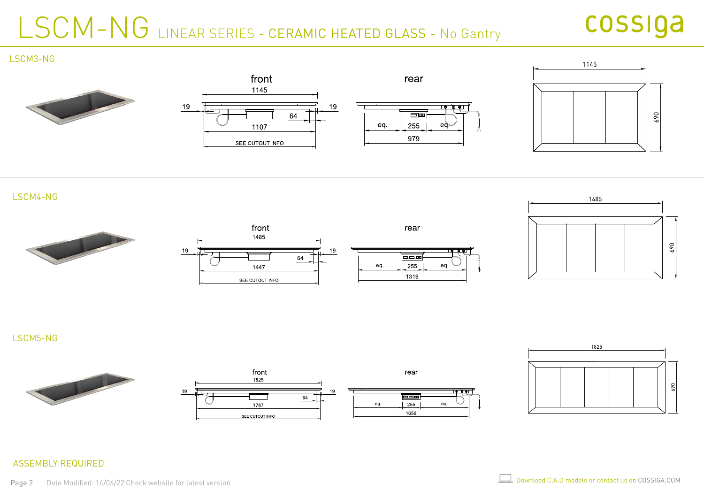## LSCM-NG LINEAR SERIES - CERAMIC HEATED GLASS - No Gantry

### cossiga

#### LSCM3-NG









LSCM5-NG





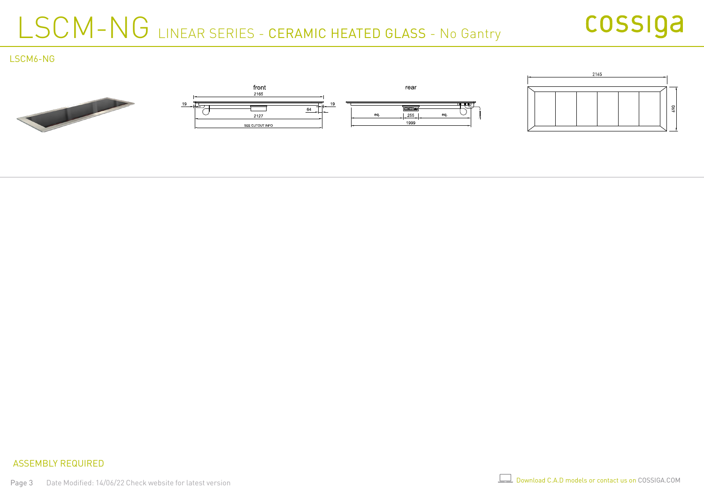## LSCM-NG LINEAR SERIES - CERAMIC HEATED GLASS - No Gantry



LSCM6-NG

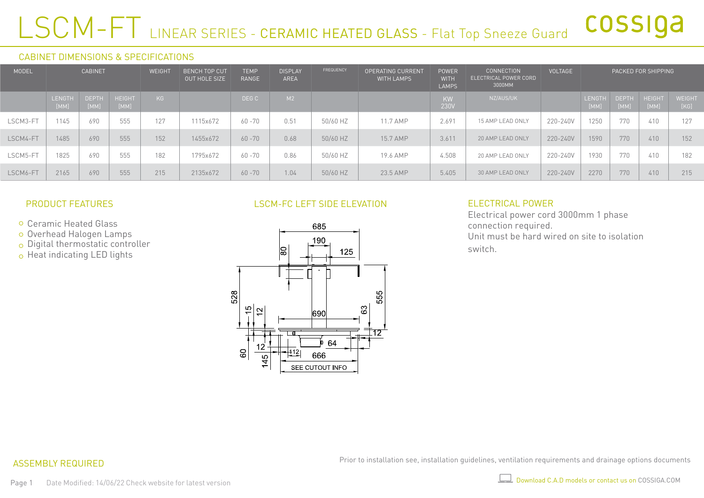### LSCM-FT LINEAR SERIES - CERAMIC HEATED GLASS - Flat Top Sneeze Guard cossiga

#### CABINET DIMENSIONS & SPECIFICATIONS

| MODEL    | <b>CABINET</b> |                      |                       |     |          |           |      |          |          |                   |                  |          |                       |                      |                       | <b>BENCH TOP CUT</b><br>OUT HOLE SIZE | <b>TEMP</b><br>RANGE | <b>DISPLAY</b><br>AREA | FREQUENCY | <b>OPERATING CURRENT</b><br><b>WITH LAMPS</b> | <b>POWER</b><br><b>WITH</b><br><b>LAMPS</b> | <b>CONNECTION</b><br>ELECTRICAL POWER CORD<br>3000MM | VOLTAGE |  |  | PACKED FOR SHIPPING |  |
|----------|----------------|----------------------|-----------------------|-----|----------|-----------|------|----------|----------|-------------------|------------------|----------|-----------------------|----------------------|-----------------------|---------------------------------------|----------------------|------------------------|-----------|-----------------------------------------------|---------------------------------------------|------------------------------------------------------|---------|--|--|---------------------|--|
|          | LENGTH<br>[MM] | <b>DEPTH</b><br>[MM] | <b>HEIGHT</b><br>[MM] | KG  |          | DEG C     | M2   |          |          | <b>KW</b><br>230V | NZ/AUS/UK        |          | <b>LENGTH</b><br>[MM] | <b>DEPTH</b><br>[MM] | <b>HEIGHT</b><br>[MM] | WEIGHT<br>[KG]                        |                      |                        |           |                                               |                                             |                                                      |         |  |  |                     |  |
| LSCM3-FT | 1145           | 690                  | 555                   | 127 | 1115x672 | $60 - 70$ | 0.51 | 50/60 HZ | 11.7 AMP | 2.691             | 15 AMP LEAD ONLY | 220-240V | 1250                  | 770                  | 410                   | 127                                   |                      |                        |           |                                               |                                             |                                                      |         |  |  |                     |  |
| LSCM4-FT | 1485           | 690                  | 555                   | 152 | 1455x672 | $60 - 70$ | 0.68 | 50/60 HZ | 15.7 AMP | 3.611             | 20 AMP LEAD ONLY | 220-240V | 1590                  | 770                  | 410                   | 152                                   |                      |                        |           |                                               |                                             |                                                      |         |  |  |                     |  |
| LSCM5-FT | 1825           | 690                  | 555                   | 182 | 1795x672 | $60 - 70$ | 0.86 | 50/60 HZ | 19.6 AMP | 4.508             | 20 AMP LEAD ONLY | 220-240V | 1930                  | 770                  | 410                   | 182                                   |                      |                        |           |                                               |                                             |                                                      |         |  |  |                     |  |
| LSCM6-FT | 2165           | 690                  | 555                   | 215 | 2135x672 | $60 - 70$ | 1.04 | 50/60 HZ | 23.5 AMP | 5.405             | 30 AMP LEAD ONLY | 220-240V | 2270                  | 770                  | 410                   | 215                                   |                      |                        |           |                                               |                                             |                                                      |         |  |  |                     |  |

#### PRODUCT FEATURES

- Ceramic Heated Glass
- Overhead Halogen Lamps
- $\circ$  Digital thermostatic controller
- o Heat indicating LED lights

#### LSCM-FC LEFT SIDE ELEVATION



#### ELECTRICAL POWER

Electrical power cord 3000mm 1 phase connection required. Unit must be hard wired on site to isolation switch.

#### ASSEMBLY REQUIRED

Prior to installation see, installation guidelines, ventilation requirements and drainage options documents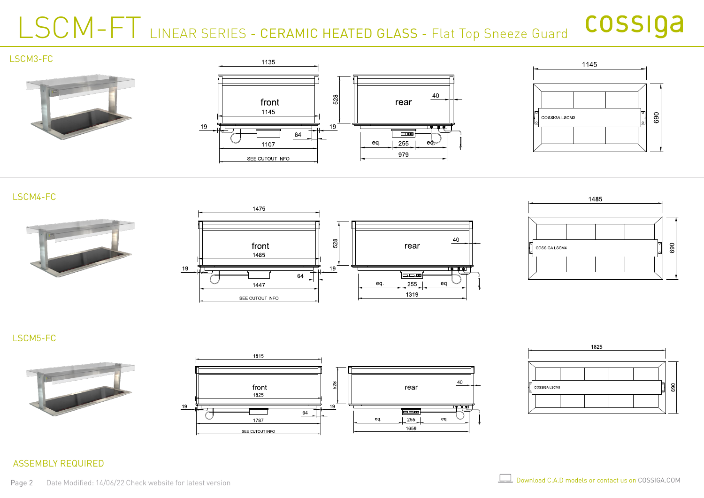### LSCM-FT LINEAR SERIES - CERAMIC HEATED GLASS - Flat Top Sneeze Guard cossiga



#### LSCM4-FC



#### LSCM5-FC





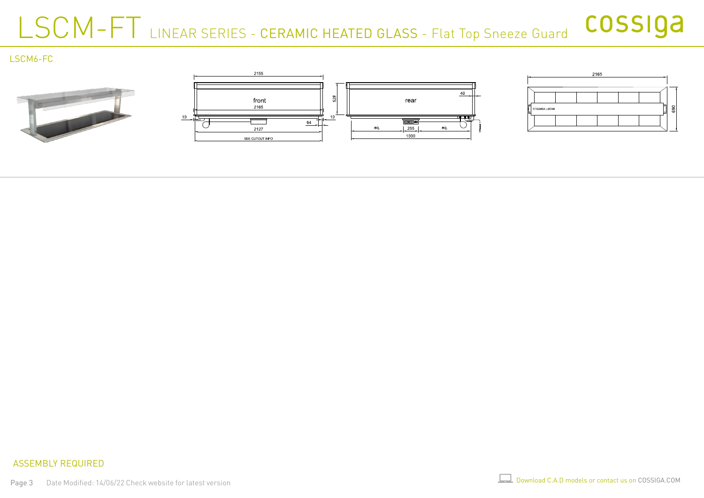### LSCM-FT LINEAR SERIES - CERAMIC HEATED GLASS - Flat Top Sneeze Guard cossiga

LSCM6-FC

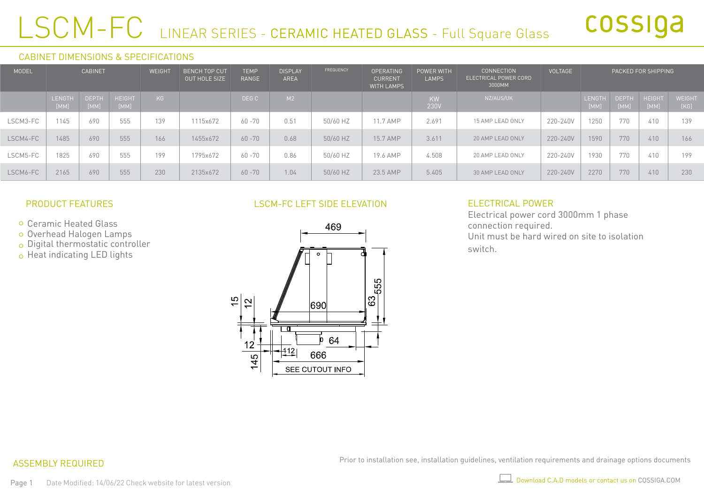# LSCM-FC LINEAR SERIES - CERAMIC HEATED GLASS - Full Square Glass

#### CABINET DIMENSIONS & SPECIFICATIONS

| <b>MODEL</b> | <b>CABINET</b>        |                      |                       | <b>WEIGHT</b> | <b>BENCH TOP CUT</b><br><b>OUT HOLE SIZE</b> | <b>TEMP</b><br>RANGE | <b>DISPLAY</b><br>AREA | FREQUENCY | <b>OPERATING</b><br><b>CURRENT</b><br><b>WITH LAMPS</b> | POWER WITH<br><b>LAMPS</b> | <b>CONNECTION</b><br>ELECTRICAL POWER CORD<br>3000MM | <b>VOLTAGE</b> |                       |                      | PACKED FOR SHIPPING   |                       |
|--------------|-----------------------|----------------------|-----------------------|---------------|----------------------------------------------|----------------------|------------------------|-----------|---------------------------------------------------------|----------------------------|------------------------------------------------------|----------------|-----------------------|----------------------|-----------------------|-----------------------|
|              | <b>LENGTH</b><br>[MM] | <b>DEPTH</b><br>[MM] | <b>HEIGHT</b><br>[MM] | KG            |                                              | DEG C                | M2                     |           |                                                         | KW<br>230V                 | NZ/AUS/UK                                            |                | <b>LENGTH</b><br>[MM] | <b>DEPTH</b><br>[MM] | <b>HEIGHT</b><br>[MM] | <b>WEIGHT</b><br>[KG] |
| LSCM3-FC     | 1145                  | 690                  | 555                   | 139           | 1115x672                                     | $60 - 70$            | 0.51                   | 50/60 HZ  | 11.7 AMP                                                | 2.691                      | 15 AMP LEAD ONLY                                     | 220-240V       | 1250                  | 770                  | 410                   | 139                   |
| LSCM4-FC     | 1485                  | 690                  | 555                   | 166           | 1455x672                                     | $60 - 70$            | 0.68                   | 50/60 HZ  | 15.7 AMP                                                | 3.611                      | 20 AMP LEAD ONLY                                     | 220-240V       | 1590                  | 770                  | 410                   | 166                   |
| LSCM5-FC     | 1825                  | 690                  | 555                   | 199           | 1795x672                                     | $60 - 70$            | 0.86                   | 50/60 HZ  | 19.6 AMP                                                | 4.508                      | 20 AMP LEAD ONLY                                     | 220-240V       | 1930                  | 770                  | 410                   | 199                   |
| LSCM6-FC     | 2165                  | 690                  | 555                   | 230           | 2135x672                                     | $60 - 70$            | 1.04                   | 50/60 HZ  | 23.5 AMP                                                | 5.405                      | 30 AMP LEAD ONLY                                     | 220-240V       | 2270                  | 770                  | 410                   | 230                   |

#### PRODUCT FEATURES

- Ceramic Heated Glass
- Overhead Halogen Lamps
- $\circ$  Digital thermostatic controller
- o Heat indicating LED lights

#### LSCM-FC LEFT SIDE ELEVATION



#### ELECTRICAL POWER

Electrical power cord 3000mm 1 phase connection required. Unit must be hard wired on site to isolation switch.

#### ASSEMBLY REQUIRED

Prior to installation see, installation guidelines, ventilation requirements and drainage options documents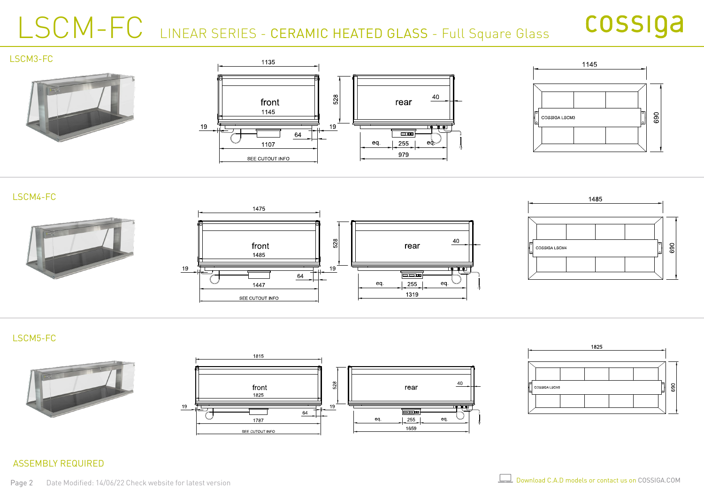# LSCM-FC LINEAR SERIES - CERAMIC HEATED GLASS - Full Square Glass

### cossiga



#### LSCM4-FC



#### LSCM5-FC